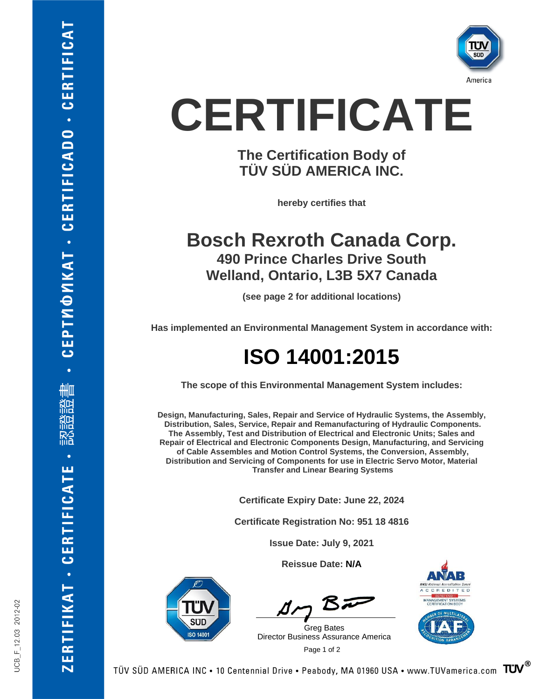

# **CERTIFICATE**

### **The Certification Body of TÜV SÜD AMERICA INC.**

**hereby certifies that**

### **Bosch Rexroth Canada Corp. 490 Prince Charles Drive South Welland, Ontario, L3B 5X7 Canada**

**(see page 2 for additional locations)**

**Has implemented an Environmental Management System in accordance with:**

## **ISO 14001:2015**

**The scope of this Environmental Management System includes:**

**Design, Manufacturing, Sales, Repair and Service of Hydraulic Systems, the Assembly, Distribution, Sales, Service, Repair and Remanufacturing of Hydraulic Components. The Assembly, Test and Distribution of Electrical and Electronic Units; Sales and Repair of Electrical and Electronic Components Design, Manufacturing, and Servicing of Cable Assembles and Motion Control Systems, the Conversion, Assembly, Distribution and Servicing of Components for use in Electric Servo Motor, Material Transfer and Linear Bearing Systems**

**Certificate Expiry Date: June 22, 2024**

**Certificate Registration No: 951 18 4816**

**Issue Date: July 9, 2021**

**Reissue Date: N/A**



BF

 Page <sup>1</sup> of <sup>2</sup> Greg Bates Director Business Assurance America